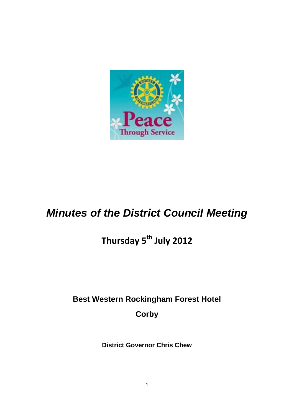

# *Minutes of the District Council Meeting*

## **Thursday 5 th July 2012**

**Best Western Rockingham Forest Hotel**

**Corby**

**District Governor Chris Chew**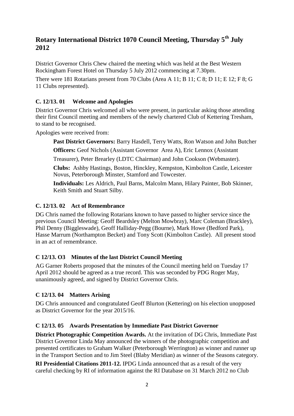## **Rotary International District 1070 Council Meeting, Thursday 5th July 2012**

District Governor Chris Chew chaired the meeting which was held at the Best Western Rockingham Forest Hotel on Thursday 5 July 2012 commencing at 7.30pm.

There were 181 Rotarians present from 70 Clubs (Area A 11; B 11; C 8; D 11; E 12; F 8; G 11 Clubs represented).

#### **C. 12/13. 01 Welcome and Apologies**

District Governor Chris welcomed all who were present, in particular asking those attending their first Council meeting and members of the newly chartered Club of Kettering Tresham, to stand to be recognised.

Apologies were received from:

**Past District Governors:** Barry Hasdell, Terry Watts, Ron Watson and John Butcher

**Officers:** Geof Nichols (Assistant Governor Area A), Eric Lennox (Assistant

Treasurer), Peter Brearley (LDTC Chairman) and John Cookson (Webmaster).

**Clubs:** Ashby Hastings, Boston, Hinckley, Kempston, Kimbolton Castle, Leicester Novus, Peterborough Minster, Stamford and Towcester.

**Individuals:** Les Aldrich, Paul Barns, Malcolm Mann, Hilary Painter, Bob Skinner, Keith Smith and Stuart Silby.

#### **C. 12/13. 02 Act of Remembrance**

DG Chris named the following Rotarians known to have passed to higher service since the previous Council Meeting: Geoff Beardsley (Melton Mowbray), Marc Coleman (Brackley), Phil Denny (Biggleswade), Geoff Halliday-Pegg (Bourne), Mark Howe (Bedford Park), Hasse Marrum (Northampton Becket) and Tony Scott (Kimbolton Castle). All present stood in an act of remembrance.

#### **C 12/13. O3 Minutes of the last District Council Meeting**

AG Garner Roberts proposed that the minutes of the Council meeting held on Tuesday 17 April 2012 should be agreed as a true record. This was seconded by PDG Roger May, unanimously agreed, and signed by District Governor Chris.

#### **C 12/13. 04 Matters Arising**

DG Chris announced and congratulated Geoff Blurton (Kettering) on his election unopposed as District Governor for the year 2015/16.

#### **C 12/13. 05 Awards Presentation by Immediate Past District Governor**

**District Photographic Competition Awards.** At the invitation of DG Chris, Immediate Past District Governor Linda May announced the winners of the photographic competition and presented certificates to Graham Walker (Peterborough Werrington) as winner and runner up in the Transport Section and to Jim Steel (Blaby Meridian) as winner of the Seasons category.

**RI Presidential Citations 2011-12.** IPDG Linda announced that as a result of the very careful checking by RI of information against the RI Database on 31 March 2012 no Club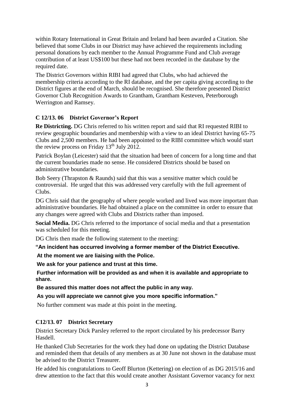within Rotary International in Great Britain and Ireland had been awarded a Citation. She believed that some Clubs in our District may have achieved the requirements including personal donations by each member to the Annual Programme Fund and Club average contribution of at least US\$100 but these had not been recorded in the database by the required date.

The District Governors within RIBI had agreed that Clubs, who had achieved the membership criteria according to the RI database, and the per capita giving according to the District figures at the end of March, should be recognised. She therefore presented District Governor Club Recognition Awards to Grantham, Grantham Kesteven, Peterborough Werrington and Ramsey.

#### **C 12/13. 06 District Governor's Report**

**Re Districting.** DG Chris referred to his written report and said that RI requested RIBI to review geographic boundaries and membership with a view to an ideal District having 65-75 Clubs and 2,500 members. He had been appointed to the RIBI committee which would start the review process on Friday  $13<sup>th</sup>$  July 2012.

Patrick Boylan (Leicester) said that the situation had been of concern for a long time and that the current boundaries made no sense. He considered Districts should be based on administrative boundaries.

Bob Seery (Thrapston & Raunds) said that this was a sensitive matter which could be controversial. He urged that this was addressed very carefully with the full agreement of Clubs.

DG Chris said that the geography of where people worked and lived was more important than administrative boundaries. He had obtained a place on the committee in order to ensure that any changes were agreed with Clubs and Districts rather than imposed.

**Social Media.** DG Chris referred to the importance of social media and that a presentation was scheduled for this meeting.

DG Chris then made the following statement to the meeting:

**"An incident has occurred involving a former member of the District Executive.**

**At the moment we are liaising with the Police.**

**We ask for your patience and trust at this time.**

**Further information will be provided as and when it is available and appropriate to share.**

**Be assured this matter does not affect the public in any way.**

**As you will appreciate we cannot give you more specific information."**

No further comment was made at this point in the meeting.

#### **C12/13. 07 District Secretary**

District Secretary Dick Parsley referred to the report circulated by his predecessor Barry Hasdell.

He thanked Club Secretaries for the work they had done on updating the District Database and reminded them that details of any members as at 30 June not shown in the database must be advised to the District Treasurer.

He added his congratulations to Geoff Blurton (Kettering) on election of as DG 2015/16 and drew attention to the fact that this would create another Assistant Governor vacancy for next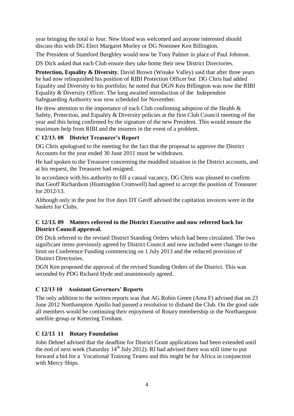year bringing the total to four. New blood was welcomed and anyone interested should discuss this with DG Elect Margaret Morley or DG Nominee Ken Billington.

The President of Stamford Burghley would now be Tony Palmer in place of Paul Johnson.

DS Dick asked that each Club ensure they take home their new District Directories.

**Protection, Equality & Diversity.** David Brown (Wreake Valley) said that after three years he had now relinquished his position of RIBI Protection Officer but DG Chris had added Equality and Diversity to his portfolio; he noted that DGN Ken Billington was now the RIBI Equality & Diversity Officer. The long awaited introduction of the Independent Safeguarding Authority was now scheduled for November.

He drew attention to the importance of each Club confirming adoption of the Health  $\&$ Safety, Protection, and Equality & Diversity policies at the first Club Council meeting of the year and this being confirmed by the signature of the new President. This would ensure the maximum help from RIBI and the insurers in the event of a problem.

## **C 12/13. 08 District Treasurer's Report**

DG Chris apologised to the meeting for the fact that the proposal to approve the District Accounts for the year ended 30 June 2011 must be withdrawn.

He had spoken to the Treasurer concerning the muddled situation in the District accounts, and at his request, the Treasurer had resigned.

In accordance with his authority to fill a casual vacancy, DG Chris was pleased to confirm that Geoff Richardson (Huntingdon Cromwell) had agreed to accept the position of Treasurer for 2012/13.

Although only in the post for five days DT Geoff advised the capitation invoices were in the baskets for Clubs.

#### **C 12/13. 09 Matters referred to the District Executive and now referred back for District Council approval.**

DS Dick referred to the revised District Standing Orders which had been circulated. The two significant items previously agreed by District Council and now included were changes to the limit on Conference Funding commencing on 1 July 2013 and the reduced provision of Distinct Directories.

DGN Ken proposed the approval of the revised Standing Orders of the District. This was seconded by PDG Richard Hyde and unanimously agreed.

## **C 12/13 10 Assistant Governors' Reports**

The only addition to the written reports was that AG Robin Green (Area F) advised that on 23 June 2012 Northampton Apollo had passed a resolution to disband the Club. On the good side all members would be continuing their enjoyment of Rotary membership in the Northampton satellite group or Kettering Tresham.

#### **C 12/13 11 Rotary Foundation**

John Dehnel advised that the deadline for District Grant applications had been extended until the end of next week (Saturday  $14<sup>th</sup>$  July 2012). RI had advised there was still time to put forward a bid for a Vocational Training Teams and this might be for Africa in conjunction with Mercy Ships.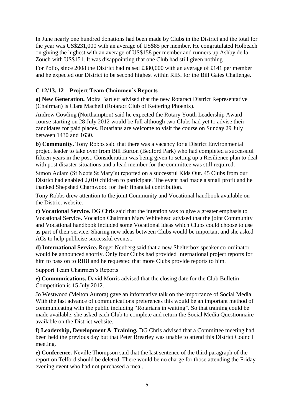In June nearly one hundred donations had been made by Clubs in the District and the total for the year was US\$231,000 with an average of US\$85 per member. He congratulated Holbeach on giving the highest with an average of US\$158 per member and runners up Ashby de la Zouch with US\$151. It was disappointing that one Club had still given nothing.

For Polio, since 2008 the District had raised £380,000 with an average of £141 per member and he expected our District to be second highest within RIBI for the Bill Gates Challenge.

### **C 12/13. 12 Project Team Chainmen's Reports**

**a) New Generation.** Moira Bartlett advised that the new Rotaract District Representative (Chairman) is Clara Machell (Rotaract Club of Kettering Phoenix).

Andrew Cowling (Northampton) said he expected the Rotary Youth Leadership Award course starting on 28 July 2012 would be full although two Clubs had yet to advise their candidates for paid places. Rotarians are welcome to visit the course on Sunday 29 July between 1430 and 1630.

**b) Community.** Tony Robbs said that there was a vacancy for a District Environmental project leader to take over from Bill Burton (Bedford Park) who had completed a successful fifteen years in the post. Consideration was being given to setting up a Resilience plan to deal with post disaster situations and a lead member for the committee was still required.

Simon Adlam (St Neots St Mary's) reported on a successful Kids Out. 45 Clubs from our District had enabled 2,010 children to participate. The event had made a small profit and he thanked Shepshed Charnwood for their financial contribution.

Tony Robbs drew attention to the joint Community and Vocational handbook available on the District website.

**c) Vocational Service.** DG Chris said that the intention was to give a greater emphasis to Vocational Service. Vocation Chairman Mary Whitehead advised that the joint Community and Vocational handbook included some Vocational ideas which Clubs could choose to use as part of their service. Sharing new ideas between Clubs would be important and she asked AGs to help publicise successful events..

**d) International Service.** Roger Neuberg said that a new Shelterbox speaker co-ordinator would be announced shortly. Only four Clubs had provided International project reports for him to pass on to RIBI and he requested that more Clubs provide reports to him.

Support Team Chairmen's Reports

**e) Communications.** David Morris advised that the closing date for the Club Bulletin Competition is 15 July 2012.

Jo Westwood (Melton Aurora) gave an informative talk on the importance of Social Media. With the fast advance of communications preferences this would be an important method of communicating with the public including "Rotarians in waiting". So that training could be made available, she asked each Club to complete and return the Social Media Questionnaire available on the District website.

**f) Leadership, Development & Training.** DG Chris advised that a Committee meeting had been held the previous day but that Peter Brearley was unable to attend this District Council meeting.

**e) Conference.** Neville Thompson said that the last sentence of the third paragraph of the report on Telford should be deleted. There would be no charge for those attending the Friday evening event who had not purchased a meal.